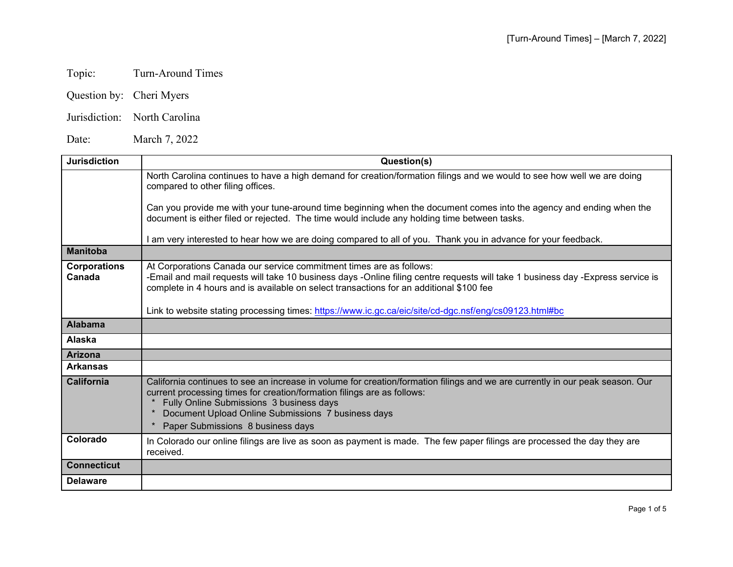## Topic: Turn-Around Times

- Question by: Cheri Myers
- Jurisdiction: North Carolina

Date: March 7, 2022

| <b>Jurisdiction</b>           | Question(s)                                                                                                                                                                                                                                                                                                                                     |
|-------------------------------|-------------------------------------------------------------------------------------------------------------------------------------------------------------------------------------------------------------------------------------------------------------------------------------------------------------------------------------------------|
|                               | North Carolina continues to have a high demand for creation/formation filings and we would to see how well we are doing<br>compared to other filing offices.                                                                                                                                                                                    |
|                               | Can you provide me with your tune-around time beginning when the document comes into the agency and ending when the<br>document is either filed or rejected. The time would include any holding time between tasks.                                                                                                                             |
|                               | I am very interested to hear how we are doing compared to all of you. Thank you in advance for your feedback.                                                                                                                                                                                                                                   |
| <b>Manitoba</b>               |                                                                                                                                                                                                                                                                                                                                                 |
| <b>Corporations</b><br>Canada | At Corporations Canada our service commitment times are as follows:<br>-Email and mail requests will take 10 business days -Online filing centre requests will take 1 business day -Express service is<br>complete in 4 hours and is available on select transactions for an additional \$100 fee                                               |
|                               | Link to website stating processing times: https://www.ic.gc.ca/eic/site/cd-dgc.nsf/eng/cs09123.html#bc                                                                                                                                                                                                                                          |
| <b>Alabama</b>                |                                                                                                                                                                                                                                                                                                                                                 |
| <b>Alaska</b>                 |                                                                                                                                                                                                                                                                                                                                                 |
| <b>Arizona</b>                |                                                                                                                                                                                                                                                                                                                                                 |
| <b>Arkansas</b>               |                                                                                                                                                                                                                                                                                                                                                 |
| California                    | California continues to see an increase in volume for creation/formation filings and we are currently in our peak season. Our<br>current processing times for creation/formation filings are as follows:<br>Fully Online Submissions 3 business days<br>Document Upload Online Submissions 7 business days<br>Paper Submissions 8 business days |
| Colorado                      | In Colorado our online filings are live as soon as payment is made. The few paper filings are processed the day they are<br>received.                                                                                                                                                                                                           |
| <b>Connecticut</b>            |                                                                                                                                                                                                                                                                                                                                                 |
| <b>Delaware</b>               |                                                                                                                                                                                                                                                                                                                                                 |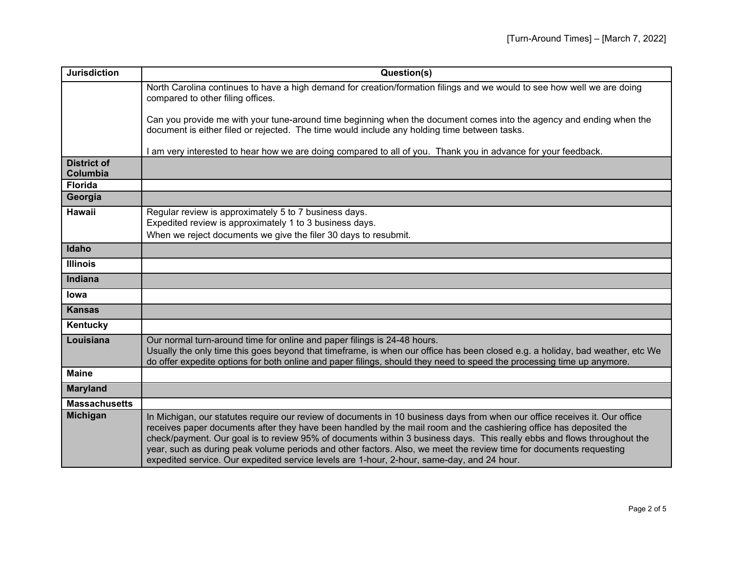| <b>Jurisdiction</b>            | Question(s)                                                                                                                                                                                                                                                                                                                                                                                                                                                                                                                                                                                     |
|--------------------------------|-------------------------------------------------------------------------------------------------------------------------------------------------------------------------------------------------------------------------------------------------------------------------------------------------------------------------------------------------------------------------------------------------------------------------------------------------------------------------------------------------------------------------------------------------------------------------------------------------|
|                                | North Carolina continues to have a high demand for creation/formation filings and we would to see how well we are doing<br>compared to other filing offices.                                                                                                                                                                                                                                                                                                                                                                                                                                    |
|                                | Can you provide me with your tune-around time beginning when the document comes into the agency and ending when the<br>document is either filed or rejected. The time would include any holding time between tasks.                                                                                                                                                                                                                                                                                                                                                                             |
|                                | am very interested to hear how we are doing compared to all of you. Thank you in advance for your feedback.                                                                                                                                                                                                                                                                                                                                                                                                                                                                                     |
| <b>District of</b><br>Columbia |                                                                                                                                                                                                                                                                                                                                                                                                                                                                                                                                                                                                 |
| <b>Florida</b>                 |                                                                                                                                                                                                                                                                                                                                                                                                                                                                                                                                                                                                 |
| Georgia                        |                                                                                                                                                                                                                                                                                                                                                                                                                                                                                                                                                                                                 |
| <b>Hawaii</b>                  | Regular review is approximately 5 to 7 business days.<br>Expedited review is approximately 1 to 3 business days.                                                                                                                                                                                                                                                                                                                                                                                                                                                                                |
|                                | When we reject documents we give the filer 30 days to resubmit.                                                                                                                                                                                                                                                                                                                                                                                                                                                                                                                                 |
| Idaho                          |                                                                                                                                                                                                                                                                                                                                                                                                                                                                                                                                                                                                 |
| <b>Illinois</b>                |                                                                                                                                                                                                                                                                                                                                                                                                                                                                                                                                                                                                 |
| <b>Indiana</b>                 |                                                                                                                                                                                                                                                                                                                                                                                                                                                                                                                                                                                                 |
| lowa                           |                                                                                                                                                                                                                                                                                                                                                                                                                                                                                                                                                                                                 |
| <b>Kansas</b>                  |                                                                                                                                                                                                                                                                                                                                                                                                                                                                                                                                                                                                 |
| Kentucky                       |                                                                                                                                                                                                                                                                                                                                                                                                                                                                                                                                                                                                 |
| Louisiana                      | Our normal turn-around time for online and paper filings is 24-48 hours.<br>Usually the only time this goes beyond that timeframe, is when our office has been closed e.g. a holiday, bad weather, etc We<br>do offer expedite options for both online and paper filings, should they need to speed the processing time up anymore.                                                                                                                                                                                                                                                             |
| <b>Maine</b>                   |                                                                                                                                                                                                                                                                                                                                                                                                                                                                                                                                                                                                 |
| <b>Maryland</b>                |                                                                                                                                                                                                                                                                                                                                                                                                                                                                                                                                                                                                 |
| <b>Massachusetts</b>           |                                                                                                                                                                                                                                                                                                                                                                                                                                                                                                                                                                                                 |
| <b>Michigan</b>                | In Michigan, our statutes require our review of documents in 10 business days from when our office receives it. Our office<br>receives paper documents after they have been handled by the mail room and the cashiering office has deposited the<br>check/payment. Our goal is to review 95% of documents within 3 business days. This really ebbs and flows throughout the<br>year, such as during peak volume periods and other factors. Also, we meet the review time for documents requesting<br>expedited service. Our expedited service levels are 1-hour, 2-hour, same-day, and 24 hour. |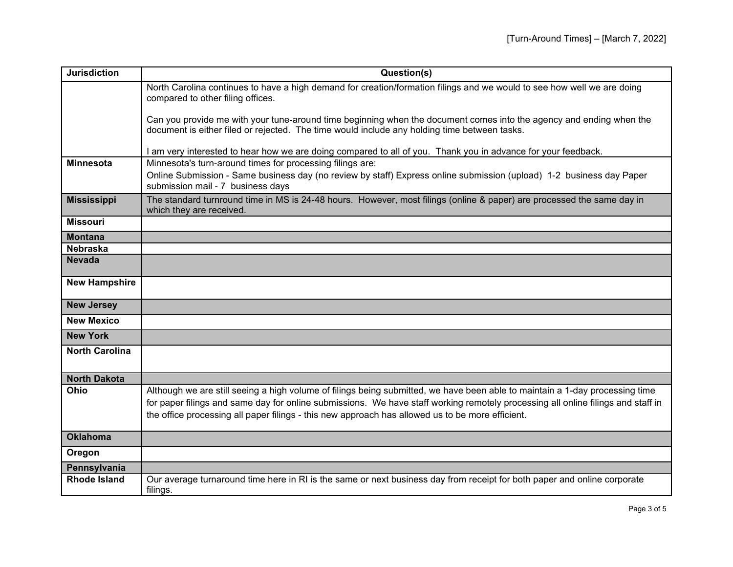| <b>Jurisdiction</b>   | Question(s)                                                                                                                                                                                                                                                                                                                                                          |
|-----------------------|----------------------------------------------------------------------------------------------------------------------------------------------------------------------------------------------------------------------------------------------------------------------------------------------------------------------------------------------------------------------|
|                       | North Carolina continues to have a high demand for creation/formation filings and we would to see how well we are doing<br>compared to other filing offices.                                                                                                                                                                                                         |
|                       | Can you provide me with your tune-around time beginning when the document comes into the agency and ending when the<br>document is either filed or rejected. The time would include any holding time between tasks.                                                                                                                                                  |
|                       | am very interested to hear how we are doing compared to all of you. Thank you in advance for your feedback.                                                                                                                                                                                                                                                          |
| <b>Minnesota</b>      | Minnesota's turn-around times for processing filings are:                                                                                                                                                                                                                                                                                                            |
|                       | Online Submission - Same business day (no review by staff) Express online submission (upload) 1-2 business day Paper<br>submission mail - 7 business days                                                                                                                                                                                                            |
| <b>Mississippi</b>    | The standard turnround time in MS is 24-48 hours. However, most filings (online & paper) are processed the same day in<br>which they are received.                                                                                                                                                                                                                   |
| <b>Missouri</b>       |                                                                                                                                                                                                                                                                                                                                                                      |
| <b>Montana</b>        |                                                                                                                                                                                                                                                                                                                                                                      |
| <b>Nebraska</b>       |                                                                                                                                                                                                                                                                                                                                                                      |
| <b>Nevada</b>         |                                                                                                                                                                                                                                                                                                                                                                      |
| <b>New Hampshire</b>  |                                                                                                                                                                                                                                                                                                                                                                      |
| <b>New Jersey</b>     |                                                                                                                                                                                                                                                                                                                                                                      |
| <b>New Mexico</b>     |                                                                                                                                                                                                                                                                                                                                                                      |
| <b>New York</b>       |                                                                                                                                                                                                                                                                                                                                                                      |
| <b>North Carolina</b> |                                                                                                                                                                                                                                                                                                                                                                      |
| <b>North Dakota</b>   |                                                                                                                                                                                                                                                                                                                                                                      |
| Ohio                  | Although we are still seeing a high volume of filings being submitted, we have been able to maintain a 1-day processing time<br>for paper filings and same day for online submissions. We have staff working remotely processing all online filings and staff in<br>the office processing all paper filings - this new approach has allowed us to be more efficient. |
| <b>Oklahoma</b>       |                                                                                                                                                                                                                                                                                                                                                                      |
| Oregon                |                                                                                                                                                                                                                                                                                                                                                                      |
| Pennsylvania          |                                                                                                                                                                                                                                                                                                                                                                      |
| <b>Rhode Island</b>   | Our average turnaround time here in RI is the same or next business day from receipt for both paper and online corporate<br>filings.                                                                                                                                                                                                                                 |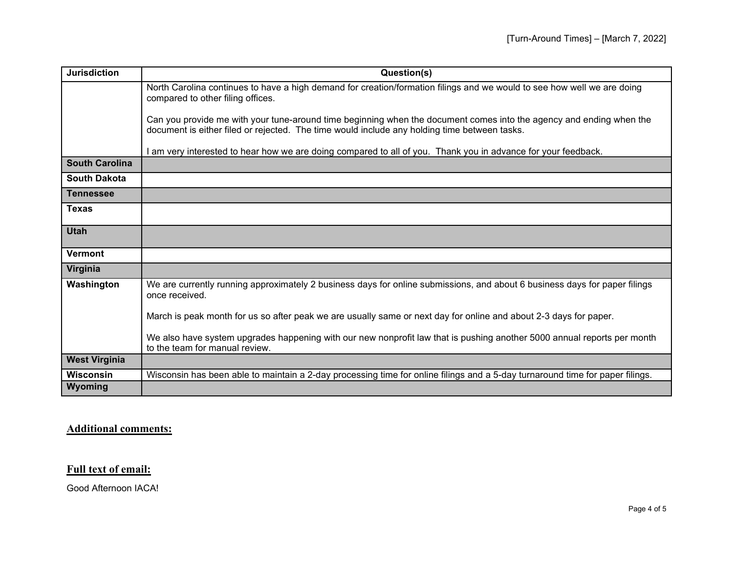| <b>Jurisdiction</b>   | Question(s)                                                                                                                                                                                                         |
|-----------------------|---------------------------------------------------------------------------------------------------------------------------------------------------------------------------------------------------------------------|
|                       | North Carolina continues to have a high demand for creation/formation filings and we would to see how well we are doing<br>compared to other filing offices.                                                        |
|                       | Can you provide me with your tune-around time beginning when the document comes into the agency and ending when the<br>document is either filed or rejected. The time would include any holding time between tasks. |
|                       | am very interested to hear how we are doing compared to all of you. Thank you in advance for your feedback.                                                                                                         |
| <b>South Carolina</b> |                                                                                                                                                                                                                     |
| <b>South Dakota</b>   |                                                                                                                                                                                                                     |
| <b>Tennessee</b>      |                                                                                                                                                                                                                     |
| <b>Texas</b>          |                                                                                                                                                                                                                     |
| <b>Utah</b>           |                                                                                                                                                                                                                     |
| <b>Vermont</b>        |                                                                                                                                                                                                                     |
| Virginia              |                                                                                                                                                                                                                     |
| Washington            | We are currently running approximately 2 business days for online submissions, and about 6 business days for paper filings<br>once received.                                                                        |
|                       | March is peak month for us so after peak we are usually same or next day for online and about 2-3 days for paper.                                                                                                   |
|                       | We also have system upgrades happening with our new nonprofit law that is pushing another 5000 annual reports per month<br>to the team for manual review.                                                           |
| <b>West Virginia</b>  |                                                                                                                                                                                                                     |
| <b>Wisconsin</b>      | Wisconsin has been able to maintain a 2-day processing time for online filings and a 5-day turnaround time for paper filings.                                                                                       |
| Wyoming               |                                                                                                                                                                                                                     |

## **Additional comments:**

## **Full text of email:**

Good Afternoon IACA!